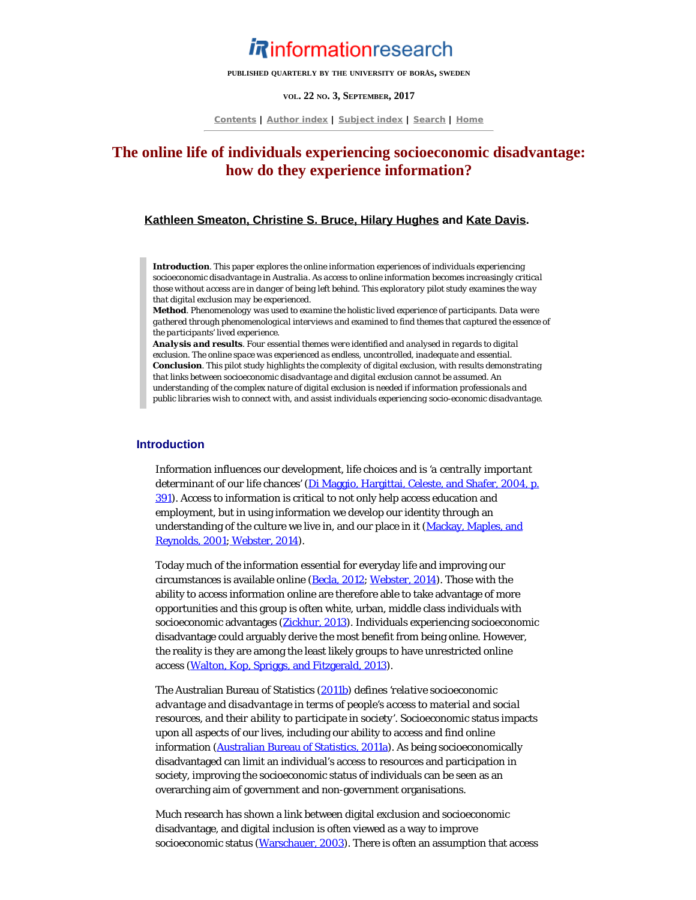# *Rinformationresearch*

**PUBLISHED QUARTERLY BY THE UNIVERSITY OF BORÅS, SWEDEN**

#### **VOL. 22 NO. 3, SEPTEMBER, 2017**

**[Contents](http://www.informationr.net/ir/22-3/infres223.html) | [Author index](http://www.informationr.net/ir/iraindex.html) | [Subject index](http://www.informationr.net/ir/irsindex.html) | [Search](http://www.informationr.net/ir/search.html) | [Home](http://www.informationr.net/ir/index.html)**

# **The online life of individuals experiencing socioeconomic disadvantage: how do they experience information?**

## **[Kathleen Smeaton, Christine S. Bruce, Hilary Hughes](#page-11-0) and [Kate Davis](#page-11-0).**

*Introduction. This paper explores the online information experiences of individuals experiencing socioeconomic disadvantage in Australia. As access to online information becomes increasingly critical those without access are in danger of being left behind. This exploratory pilot study examines the way that digital exclusion may be experienced.*

*Method. Phenomenology was used to examine the holistic lived experience of participants. Data were gathered through phenomenological interviews and examined to find themes that captured the essence of the participants' lived experience.* 

*Analysis and results. Four essential themes were identified and analysed in regards to digital exclusion. The online space was experienced as endless, uncontrolled, inadequate and essential. Conclusion. This pilot study highlights the complexity of digital exclusion, with results demonstrating that links between socioeconomic disadvantage and digital exclusion cannot be assumed. An understanding of the complex nature of digital exclusion is needed if information professionals and public libraries wish to connect with, and assist individuals experiencing socio-economic disadvantage.* 

#### **Introduction**

Information influences our development, life choices and is *'a centrally important determinant of our life chances'* [\(Di Maggio, Hargittai, Celeste, and Shafer, 2004, p.](#page-13-0) [391\)](#page-13-0). Access to information is critical to not only help access education and employment, but in using information we develop our identity through an understanding of the culture we live in, and our place in it ([Mackay, Maples, and](#page-13-1) [Reynolds, 2001](#page-13-1); [Webster, 2014](#page-13-2)).

Today much of the information essential for everyday life and improving our circumstances is available online [\(Becla, 2012](#page-13-0); [Webster, 2014](#page-13-2)). Those with the ability to access information online are therefore able to take advantage of more opportunities and this group is often white, urban, middle class individuals with socioeconomic advantages ([Zickhur, 2013](#page-13-3)). Individuals experiencing socioeconomic disadvantage could arguably derive the most benefit from being online. However, the reality is they are among the least likely groups to have unrestricted online access [\(Walton, Kop, Spriggs, and Fitzgerald, 2013](#page-13-4)).

The Australian Bureau of Statistics [\(2011b](#page-13-0)) defines *'relative socioeconomic advantage and disadvantage in terms of people's access to material and social resources, and their ability to participate in society'*. Socioeconomic status impacts upon all aspects of our lives, including our ability to access and find online information [\(Australian Bureau of Statistics, 2011a](#page-13-0)). As being socioeconomically disadvantaged can limit an individual's access to resources and participation in society, improving the socioeconomic status of individuals can be seen as an overarching aim of government and non-government organisations.

Much research has shown a link between digital exclusion and socioeconomic disadvantage, and digital inclusion is often viewed as a way to improve socioeconomic status [\(Warschauer, 2003](#page-13-5)). There is often an assumption that access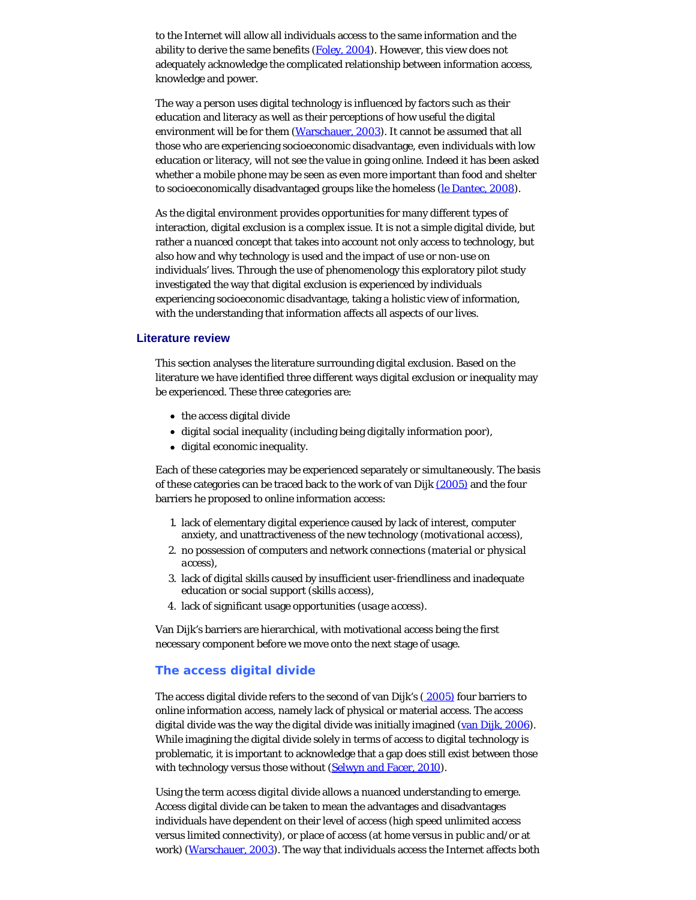to the Internet will allow all individuals access to the same information and the ability to derive the same benefits  $(Foley, 2004)$  $(Foley, 2004)$ . However, this view does not adequately acknowledge the complicated relationship between information access, knowledge and power.

The way a person uses digital technology is influenced by factors such as their education and literacy as well as their perceptions of how useful the digital environment will be for them [\(Warschauer, 2003](#page-13-5)). It cannot be assumed that all those who are experiencing socioeconomic disadvantage, even individuals with low education or literacy, will not see the value in going online. Indeed it has been asked whether a mobile phone may be seen as even more important than food and shelter to socioeconomically disadvantaged groups like the homeless [\(le Dantec, 2008](#page-13-6)).

As the digital environment provides opportunities for many different types of interaction, digital exclusion is a complex issue. It is not a simple digital divide, but rather a nuanced concept that takes into account not only access to technology, but also how and why technology is used and the impact of use or non-use on individuals' lives. Through the use of phenomenology this exploratory pilot study investigated the way that digital exclusion is experienced by individuals experiencing socioeconomic disadvantage, taking a holistic view of information, with the understanding that information affects all aspects of our lives.

#### **Literature review**

This section analyses the literature surrounding digital exclusion. Based on the literature we have identified three different ways digital exclusion or inequality may be experienced. These three categories are:

- the access digital divide
- digital social inequality (including being digitally information poor),
- digital economic inequality.

Each of these categories may be experienced separately or simultaneously. The basis of these categories can be traced back to the work of van Dijk [\(2005\)](#page-13-7) and the four barriers he proposed to online information access:

- 1. lack of elementary digital experience caused by lack of interest, computer anxiety, and unattractiveness of the new technology (*motivational access*),
- 2. no possession of computers and network connections (*material or physical access*),
- 3. lack of digital skills caused by insufficient user-friendliness and inadequate education or social support (*skills access*),
- 4. lack of significant usage opportunities (*usage access*).

Van Dijk's barriers are hierarchical, with motivational access being the first necessary component before we move onto the next stage of usage.

#### **The access digital divide**

The access digital divide refers to the second of van Dijk's ( [2005\)](#page-13-7) four barriers to online information access, namely lack of physical or material access. The access digital divide was the way the digital divide was initially imagined [\(van Dijk, 2006](#page-13-8)). While imagining the digital divide solely in terms of access to digital technology is problematic, it is important to acknowledge that a gap does still exist between those with technology versus those without [\(Selwyn and Facer, 2010](#page-13-9)).

Using the term *access digital divide* allows a nuanced understanding to emerge. Access digital divide can be taken to mean the advantages and disadvantages individuals have dependent on their level of access (high speed unlimited access versus limited connectivity), or place of access (at home versus in public and/or at work) [\(Warschauer, 2003](#page-13-5)). The way that individuals access the Internet affects both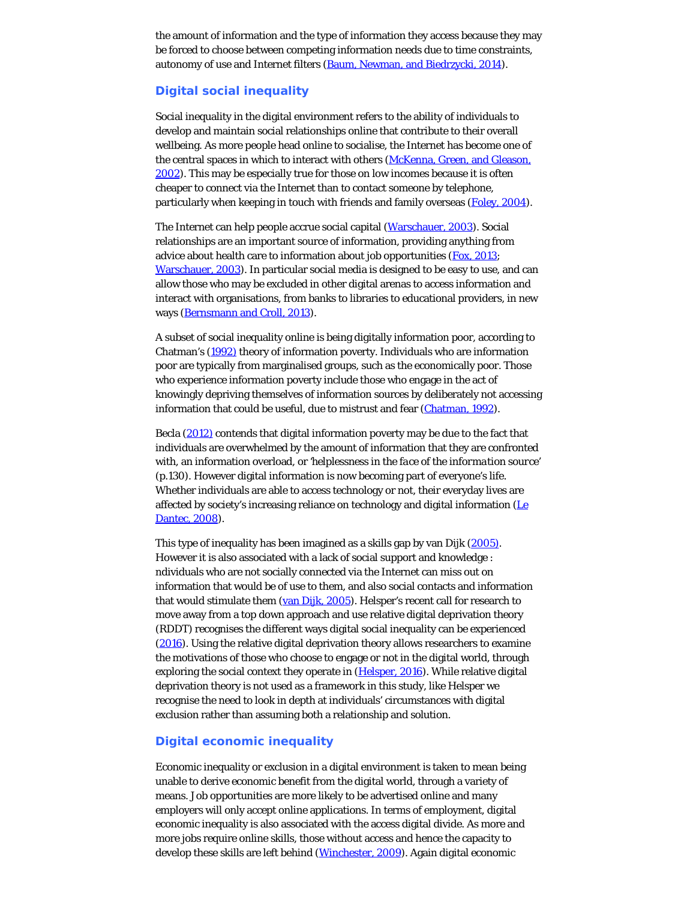the amount of information and the type of information they access because they may be forced to choose between competing information needs due to time constraints, autonomy of use and Internet filters [\(Baum, Newman, and Biedrzycki, 2014](#page-13-0)).

## **Digital social inequality**

Social inequality in the digital environment refers to the ability of individuals to develop and maintain social relationships online that contribute to their overall wellbeing. As more people head online to socialise, the Internet has become one of the central spaces in which to interact with others [\(McKenna, Green, and Gleason,](#page-13-10) [2002](#page-13-10)). This may be especially true for those on low incomes because it is often cheaper to connect via the Internet than to contact someone by telephone, particularly when keeping in touch with friends and family overseas ([Foley, 2004\)](#page-13-0).

The Internet can help people accrue social capital ([Warschauer, 2003](#page-13-5)). Social relationships are an important source of information, providing anything from advice about health care to information about job opportunities [\(Fox, 2013](#page-13-0); [Warschauer, 2003](#page-13-5)). In particular social media is designed to be easy to use, and can allow those who may be excluded in other digital arenas to access information and interact with organisations, from banks to libraries to educational providers, in new ways [\(Bernsmann and Croll, 2013](#page-13-0)).

A subset of social inequality online is being digitally information poor, according to Chatman's [\(1992\)](#page-13-0) theory of information poverty. Individuals who are information poor are typically from marginalised groups, such as the economically poor. Those who experience information poverty include those who engage in the act of knowingly depriving themselves of information sources by deliberately not accessing information that could be useful, due to mistrust and fear [\(Chatman, 1992](#page-13-0)).

Becla [\(2012\)](#page-13-0) contends that digital information poverty may be due to the fact that individuals are overwhelmed by the amount of information that they are confronted with, an information overload, or *'helplessness in the face of the information source'* (p.130). However digital information is now becoming part of everyone's life. Whether individuals are able to access technology or not, their everyday lives are affected by society's increasing reliance on technology and digital information ([Le](#page-13-6) [Dantec, 2008\)](#page-13-6).

This type of inequality has been imagined as a skills gap by van Dijk [\(2005\)](#page-13-7). However it is also associated with a lack of social support and knowledge : ndividuals who are not socially connected via the Internet can miss out on information that would be of use to them, and also social contacts and information that would stimulate them ([van Dijk, 2005](#page-13-7)). Helsper's recent call for research to move away from a top down approach and use relative digital deprivation theory (RDDT) recognises the different ways digital social inequality can be experienced [\(2016](#page-13-0)). Using the relative digital deprivation theory allows researchers to examine the motivations of those who choose to engage or not in the digital world, through exploring the social context they operate in [\(Helsper, 2016](#page-13-0)). While relative digital deprivation theory is not used as a framework in this study, like Helsper we recognise the need to look in depth at individuals' circumstances with digital exclusion rather than assuming both a relationship and *solution*.

#### **Digital economic inequality**

Economic inequality or exclusion in a digital environment is taken to mean being unable to derive economic benefit from the digital world, through a variety of means. Job opportunities are more likely to be advertised online and many employers will only accept online applications. In terms of employment, digital economic inequality is also associated with the access digital divide. As more and more jobs require online skills, those without access and hence the capacity to develop these skills are left behind [\(Winchester, 2009](#page-13-11)). Again digital economic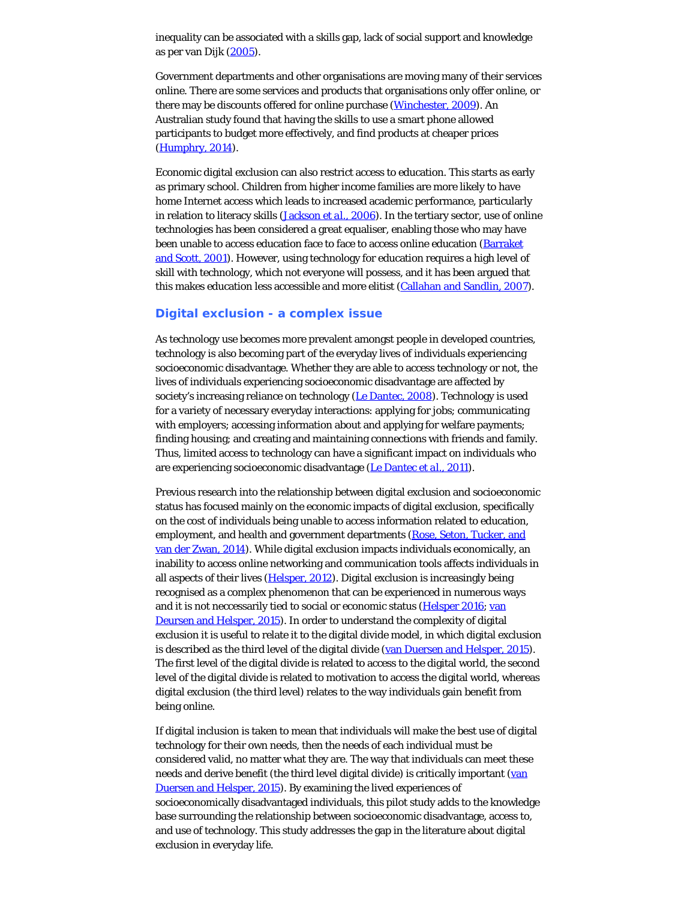inequality can be associated with a skills gap, lack of social support and knowledge as per van Dijk [\(2005](#page-13-7)).

Government departments and other organisations are moving many of their services online. There are some services and products that organisations only offer online, or there may be discounts offered for online purchase [\(Winchester, 2009](#page-13-11)). An Australian study found that having the skills to use a smart phone allowed participants to budget more effectively, and find products at cheaper prices [\(Humphry, 2014](#page-13-0)).

Economic digital exclusion can also restrict access to education. This starts as early as primary school. Children from higher income families are more likely to have home Internet access which leads to increased academic performance, particularly in relation to literacy skills [\(Jackson](#page-13-0) *[et al.](#page-13-0)*[, 2006](#page-13-0)). In the tertiary sector, use of online technologies has been considered a great equaliser, enabling those who may have been unable to access education face to face to access online education (**Barraket** [and Scott, 2001\)](#page-13-0). However, using technology for education requires a high level of skill with technology, which not everyone will possess, and it has been argued that this makes education less accessible and more elitist [\(Callahan and Sandlin, 2007](#page-13-0)).

#### **Digital exclusion - a complex issue**

As technology use becomes more prevalent amongst people in developed countries, technology is also becoming part of the everyday lives of individuals experiencing socioeconomic disadvantage. Whether they are able to access technology or not, the lives of individuals experiencing socioeconomic disadvantage are affected by society's increasing reliance on technology [\(Le Dantec, 2008](#page-13-6)). Technology is used for a variety of necessary everyday interactions: applying for jobs; communicating with employers; accessing information about and applying for welfare payments; finding housing; and creating and maintaining connections with friends and family. Thus, limited access to technology can have a significant impact on individuals who are experiencing socioeconomic disadvantage ([Le Dantec](#page-13-12) *[et al.](#page-13-12)*[, 2011](#page-13-12)).

Previous research into the relationship between digital exclusion and socioeconomic status has focused mainly on the economic impacts of digital exclusion, specifically on the cost of individuals being unable to access information related to education, employment, and health and government departments [\(Rose, Seton, Tucker, and](#page-13-13) [van der Zwan, 2014\)](#page-13-13). While digital exclusion impacts individuals economically, an inability to access online networking and communication tools affects individuals in all aspects of their lives [\(Helsper, 2012](#page-13-0)). Digital exclusion is increasingly being recognised as a complex phenomenon that can be experienced in numerous ways and it is not neccessarily tied to social or economic status ([Helsper 2016;](#page-13-0) [van](#page-13-14) [Deursen and Helsper, 2015](#page-13-14)). In order to understand the complexity of digital exclusion it is useful to relate it to the digital divide model, in which digital exclusion is described as the third level of the digital divide ([van Duersen and Helsper, 2015](#page-13-14)). The first level of the digital divide is related to access to the digital world, the second level of the digital divide is related to motivation to access the digital world, whereas digital exclusion (the third level) relates to the way individuals gain benefit from being online.

If digital inclusion is taken to mean that individuals will make the best use of digital technology for their own needs, then the needs of each individual must be considered valid, no matter what they are. The way that individuals can meet these needs and derive benefit (the third level digital divide) is critically important [\(van](#page-13-14) [Duersen and Helsper, 2015](#page-13-14)). By examining the lived experiences of socioeconomically disadvantaged individuals, this pilot study adds to the knowledge base surrounding the relationship between socioeconomic disadvantage, access to, and use of technology. This study addresses the gap in the literature about digital exclusion in everyday life.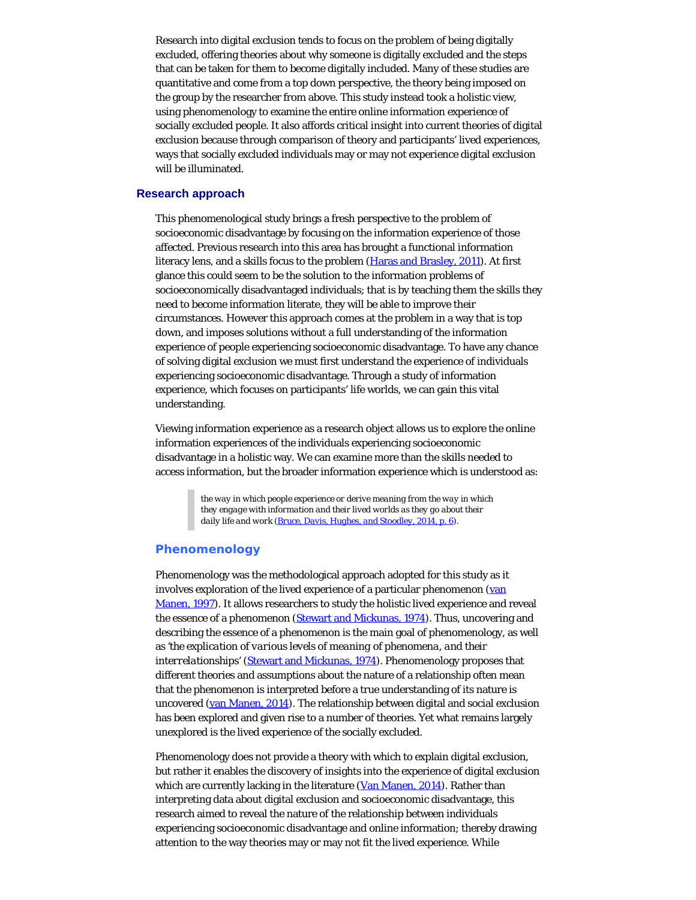Research into digital exclusion tends to focus on the problem of being digitally excluded, offering theories about why someone is digitally excluded and the steps that can be taken for them to become digitally included. Many of these studies are quantitative and come from a top down perspective, the theory being imposed on the group by the researcher from above. This study instead took a holistic view, using phenomenology to examine the entire online information experience of socially excluded people. It also affords critical insight into current theories of digital exclusion because through comparison of theory and participants' lived experiences, ways that socially excluded individuals may or may not experience digital exclusion will be illuminated.

#### **Research approach**

This phenomenological study brings a fresh perspective to the problem of socioeconomic disadvantage by focusing on the information experience of those affected. Previous research into this area has brought a functional information literacy lens, and a skills focus to the problem [\(Haras and Brasley, 2011](#page-13-0)). At first glance this could seem to be the solution to the information problems of socioeconomically disadvantaged individuals; that is by teaching them the skills they need to become information literate, they will be able to improve their circumstances. However this approach comes at the problem in a way that is top down, and imposes solutions without a full understanding of the information experience of people experiencing socioeconomic disadvantage. To have any chance of solving digital exclusion we must first understand the experience of individuals experiencing socioeconomic disadvantage. Through a study of information experience, which focuses on participants' life worlds, we can gain this vital understanding.

Viewing information experience as a research object allows us to explore the online information experiences of the individuals experiencing socioeconomic disadvantage in a holistic way. We can examine more than the skills needed to access information, but the broader information experience which is understood as:

> *the way in which people experience or derive meaning from the way in which they engage with information and their lived worlds as they go about their daily life and work [\(Bruce, Davis, Hughes, and Stoodley, 2014, p. 6\)](#page-13-0).*

# **Phenomenology**

Phenomenology was the methodological approach adopted for this study as it involves exploration of the lived experience of a particular phenomenon ([van](#page-13-15) [Manen, 1997](#page-13-15)). It allows researchers to study the holistic lived experience and reveal the essence of a phenomenon ([Stewart and Mickunas, 1974](#page-13-16)). Thus, uncovering and describing the essence of a phenomenon is the main goal of phenomenology, as well as *'the explication of various levels of meaning of phenomena, and their interrelationships'* [\(Stewart and Mickunas, 1974](#page-13-16)). Phenomenology proposes that different theories and assumptions about the nature of a relationship often mean that the phenomenon is interpreted before a true understanding of its nature is uncovered [\(van Manen, 2014](#page-13-17)). The relationship between digital and social exclusion has been explored and given rise to a number of theories. Yet what remains largely unexplored is the lived experience of the socially excluded.

Phenomenology does not provide a theory with which to explain digital exclusion, but rather it enables the discovery of insights into the experience of digital exclusion which are currently lacking in the literature [\(Van Manen, 2014](#page-13-17)). Rather than interpreting data about digital exclusion and socioeconomic disadvantage, this research aimed to reveal the nature of the relationship between individuals experiencing socioeconomic disadvantage and online information; thereby drawing attention to the way theories may or may not fit the lived experience. While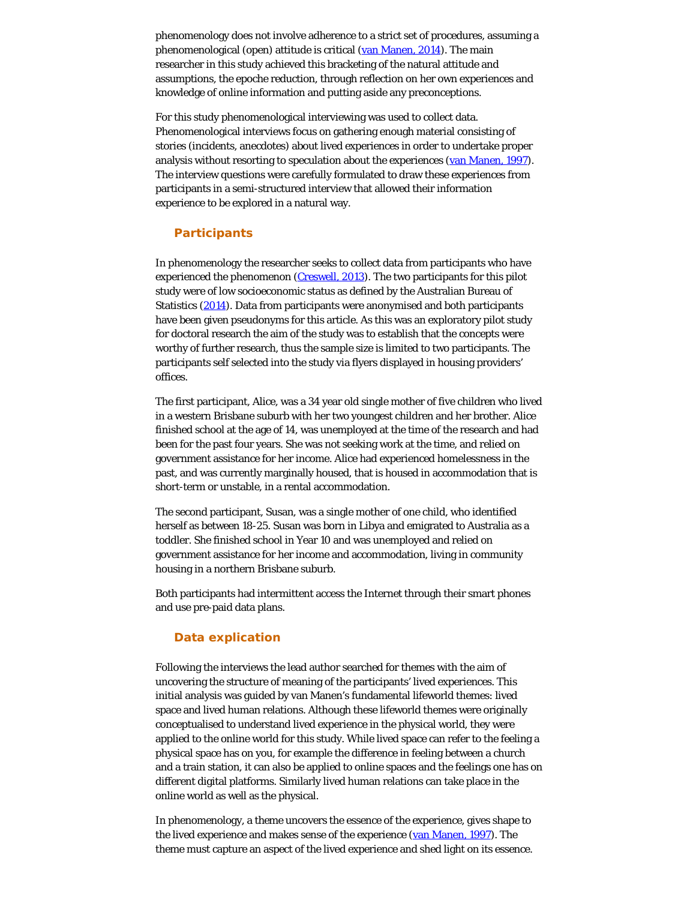phenomenology does not involve adherence to a strict set of procedures, assuming a phenomenological (open) attitude is critical [\(van Manen, 2014](#page-13-17)). The main researcher in this study achieved this bracketing of the natural attitude and assumptions, the epoche reduction, through reflection on her own experiences and knowledge of online information and putting aside any preconceptions.

For this study phenomenological interviewing was used to collect data. Phenomenological interviews focus on gathering enough material consisting of stories (incidents, anecdotes) about lived experiences in order to undertake proper analysis without resorting to speculation about the experiences [\(van Manen, 1997](#page-13-15)). The interview questions were carefully formulated to draw these experiences from participants in a semi-structured interview that allowed their information experience to be explored in a natural way.

#### **Participants**

In phenomenology the researcher seeks to collect data from participants who have experienced the phenomenon ([Creswell, 2013](#page-13-0)). The two participants for this pilot study were of low socioeconomic status as defined by the Australian Bureau of Statistics [\(2014](#page-13-0)). Data from participants were anonymised and both participants have been given pseudonyms for this article. As this was an exploratory pilot study for doctoral research the aim of the study was to establish that the concepts were worthy of further research, thus the sample size is limited to two participants. The participants self selected into the study via flyers displayed in housing providers' offices.

The first participant, Alice, was a 34 year old single mother of five children who lived in a western Brisbane suburb with her two youngest children and her brother. Alice finished school at the age of 14, was unemployed at the time of the research and had been for the past four years. She was not seeking work at the time, and relied on government assistance for her income. Alice had experienced homelessness in the past, and was currently marginally housed, that is housed in accommodation that is short-term or unstable, in a rental accommodation.

The second participant, Susan, was a single mother of one child, who identified herself as between 18-25. Susan was born in Libya and emigrated to Australia as a toddler. She finished school in Year 10 and was unemployed and relied on government assistance for her income and accommodation, living in community housing in a northern Brisbane suburb.

Both participants had intermittent access the Internet through their smart phones and use pre-paid data plans.

# **Data explication**

Following the interviews the lead author searched for themes with the aim of uncovering the structure of meaning of the participants' lived experiences. This initial analysis was guided by van Manen's fundamental lifeworld themes: lived space and lived human relations. Although these lifeworld themes were originally conceptualised to understand lived experience in the physical world, they were applied to the online world for this study. While lived space can refer to the feeling a physical space has on you, for example the difference in feeling between a church and a train station, it can also be applied to online spaces and the feelings one has on different digital platforms. Similarly lived human relations can take place in the online world as well as the physical.

In phenomenology, a *theme* uncovers the essence of the experience, gives shape to the lived experience and makes sense of the experience [\(van Manen, 1997](#page-13-15)). The theme must capture an aspect of the lived experience and shed light on its essence.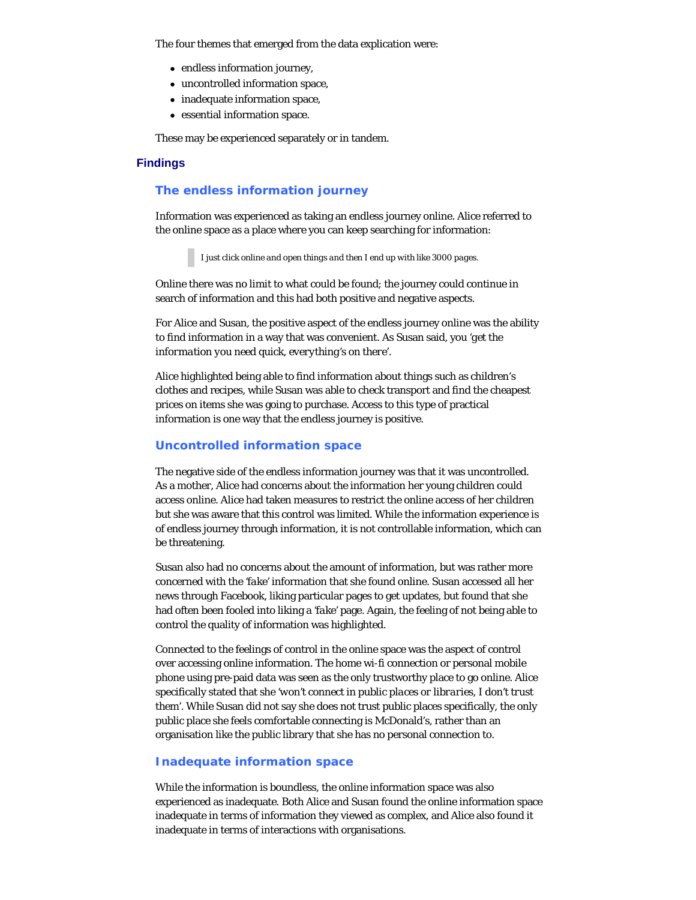The four themes that emerged from the data explication were:

- endless information journey,
- uncontrolled information space,
- inadequate information space,
- essential information space.

These may be experienced separately or in tandem.

# **Findings**

# **The endless information journey**

Information was experienced as taking an endless journey online. Alice referred to the online space as a place where you can keep searching for information:

*I just click online and open things and then I end up with like 3000 pages.*

Online there was no limit to what could be found; the journey could continue in search of information and this had both positive and negative aspects.

For Alice and Susan, the positive aspect of the endless journey online was the ability to find information in a way that was convenient. As Susan said, you *'get the information you need quick, everything's on there'*.

Alice highlighted being able to find information about things such as children's clothes and recipes, while Susan was able to check transport and find the cheapest prices on items she was going to purchase. Access to this type of practical information is one way that the endless journey is positive.

# **Uncontrolled information space**

The negative side of the endless information journey was that it was uncontrolled. As a mother, Alice had concerns about the information her young children could access online. Alice had taken measures to restrict the online access of her children but she was aware that this control was limited. While the information experience is of endless journey through information, it is not controllable information, which can be threatening.

Susan also had no concerns about the amount of information, but was rather more concerned with the *'fake'* information that she found online. Susan accessed all her news through Facebook, liking particular pages to get updates, but found that she had often been fooled into liking a *'fake'* page. Again, the feeling of not being able to control the quality of information was highlighted.

Connected to the feelings of control in the online space was the aspect of control over accessing online information. The home wi-fi connection or personal mobile phone using pre-paid data was seen as the only trustworthy place to go online. Alice specifically stated that she *'won't connect in public places or libraries, I don't trust them'*. While Susan did not say she does not trust public places specifically, the only public place she feels comfortable connecting is McDonald's, rather than an organisation like the public library that she has no personal connection to.

# **Inadequate information space**

While the information is boundless, the online information space was also experienced as inadequate. Both Alice and Susan found the online information space inadequate in terms of information they viewed as complex, and Alice also found it inadequate in terms of interactions with organisations.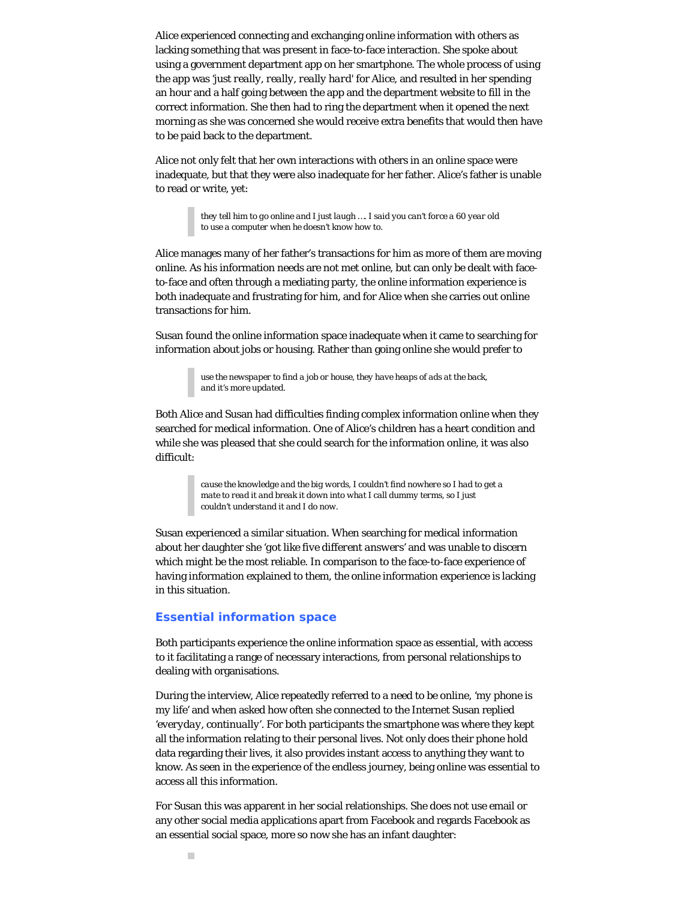Alice experienced connecting and exchanging online information with others as lacking something that was present in face-to-face interaction. She spoke about using a government department app on her smartphone. The whole process of using the app was *'just really, really, really hard'* for Alice, and resulted in her spending an hour and a half going between the app and the department website to fill in the correct information. She then had to ring the department when it opened the next morning as she was concerned she would receive extra benefits that would then have to be paid back to the department.

Alice not only felt that her own interactions with others in an online space were inadequate, but that they were also inadequate for her father. Alice's father is unable to read or write, yet:

> *they tell him to go online and I just laugh …. I said you can't force a 60 year old to use a computer when he doesn't know how to.*

Alice manages many of her father's transactions for him as more of them are moving online. As his information needs are not met online, but can only be dealt with faceto-face and often through a mediating party, the online information experience is both inadequate and frustrating for him, and for Alice when she carries out online transactions for him.

Susan found the online information space inadequate when it came to searching for information about jobs or housing. Rather than going online she would prefer to

> *use the newspaper to find a job or house, they have heaps of ads at the back, and it's more updated.*

Both Alice and Susan had difficulties finding complex information online when they searched for medical information. One of Alice's children has a heart condition and while she was pleased that she could search for the information online, it was also difficult:

> *cause the knowledge and the big words, I couldn't find nowhere so I had to get a mate to read it and break it down into what I call dummy terms, so I just couldn't understand it and I do now.*

Susan experienced a similar situation. When searching for medical information about her daughter she *'got like five different answers'* and was unable to discern which might be the most reliable. In comparison to the face-to-face experience of having information explained to them, the online information experience is lacking in this situation.

#### **Essential information space**

Both participants experience the online information space as essential, with access to it facilitating a range of necessary interactions, from personal relationships to dealing with organisations.

During the interview, Alice repeatedly referred to a need to be online, *'my phone is my life'* and when asked how often she connected to the Internet Susan replied *'everyday, continually'*. For both participants the smartphone was where they kept all the information relating to their personal lives. Not only does their phone hold data regarding their lives, it also provides instant access to anything they want to know. As seen in the experience of the endless journey, being online was essential to access all this information.

For Susan this was apparent in her social relationships. She does not use email or any other social media applications apart from Facebook and regards Facebook as an essential social space, more so now she has an infant daughter: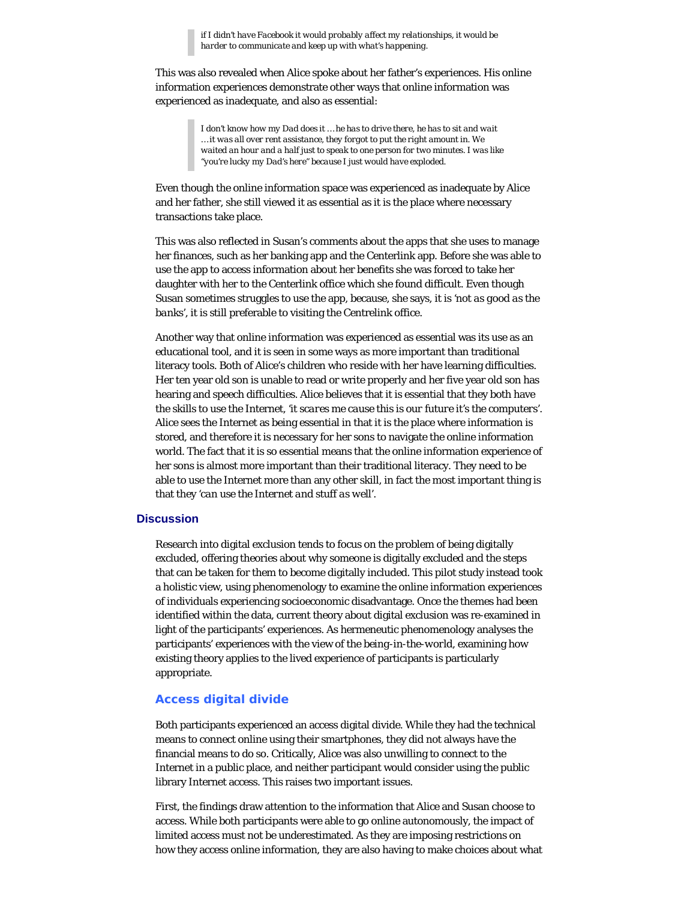*if I didn't have Facebook it would probably affect my relationships, it would be harder to communicate and keep up with what's happening.*

This was also revealed when Alice spoke about her father's experiences. His online information experiences demonstrate other ways that online information was experienced as inadequate, and also as essential:

> *I don't know how my Dad does it … he has to drive there, he has to sit and wait … it was all over rent assistance, they forgot to put the right amount in. We waited an hour and a half just to speak to one person for two minutes. I was like "you're lucky my Dad's here" because I just would have exploded.*

Even though the online information space was experienced as inadequate by Alice and her father, she still viewed it as essential as it is the place where necessary transactions take place.

This was also reflected in Susan's comments about the apps that she uses to manage her finances, such as her banking app and the Centerlink app. Before she was able to use the app to access information about her benefits she was forced to take her daughter with her to the Centerlink office which she found difficult. Even though Susan sometimes struggles to use the app, because, she says, it is *'not as good as the banks'*, it is still preferable to visiting the Centrelink office.

Another way that online information was experienced as essential was its use as an educational tool, and it is seen in some ways as more important than traditional literacy tools. Both of Alice's children who reside with her have learning difficulties. Her ten year old son is unable to read or write properly and her five year old son has hearing and speech difficulties. Alice believes that it is essential that they both have the skills to use the Internet, *'it scares me cause this is our future it's the computers'*. Alice sees the Internet as being essential in that it is the place where information is stored, and therefore it is necessary for her sons to navigate the online information world. The fact that it is so essential means that the online information experience of her sons is almost more important than their traditional literacy. They need to be able to use the Internet more than any other skill, in fact the most important thing is that they *'can use the Internet and stuff as well'*.

# **Discussion**

Research into digital exclusion tends to focus on the problem of being digitally excluded, offering theories about why someone is digitally excluded and the steps that can be taken for them to become digitally included. This pilot study instead took a holistic view, using phenomenology to examine the online information experiences of individuals experiencing socioeconomic disadvantage. Once the themes had been identified within the data, current theory about digital exclusion was re-examined in light of the participants' experiences. As hermeneutic phenomenology analyses the participants' experiences with the view of the *being-in-the-world*, examining how existing theory applies to the lived experience of participants is particularly appropriate.

# **Access digital divide**

Both participants experienced an access digital divide. While they had the technical means to connect online using their smartphones, they did not always have the financial means to do so. Critically, Alice was also unwilling to connect to the Internet in a public place, and neither participant would consider using the public library Internet access. This raises two important issues.

First, the findings draw attention to the information that Alice and Susan choose to access. While both participants were able to go online autonomously, the impact of limited access must not be underestimated. As they are imposing restrictions on how they access online information, they are also having to make choices about what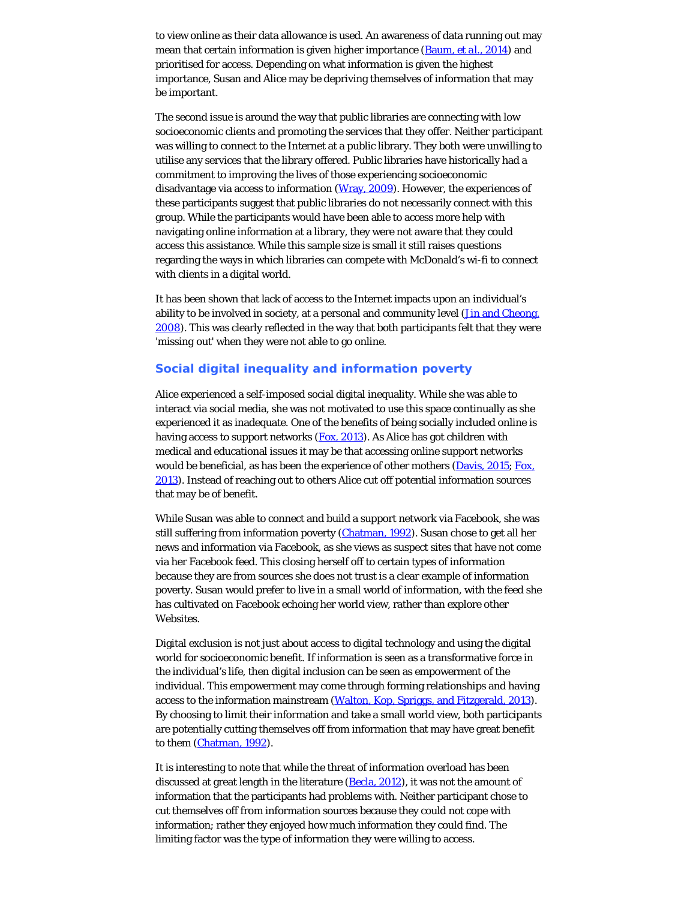to view online as their data allowance is used. An awareness of data running out may mean that certain information is given higher importance [\(Baum,](#page-13-0) *[et al.](#page-13-0)*[, 2014](#page-13-0)) and prioritised for access. Depending on what information is given the highest importance, Susan and Alice may be depriving themselves of information that may be important.

The second issue is around the way that public libraries are connecting with low socioeconomic clients and promoting the services that they offer. Neither participant was willing to connect to the Internet at a public library. They both were unwilling to utilise any services that the library offered. Public libraries have historically had a commitment to improving the lives of those experiencing socioeconomic disadvantage via access to information ([Wray, 2009](#page-13-18)). However, the experiences of these participants suggest that public libraries do not necessarily connect with this group. While the participants would have been able to access more help with navigating online information at a library, they were not aware that they could access this assistance. While this sample size is small it still raises questions regarding the ways in which libraries can compete with McDonald's wi-fi to connect with clients in a digital world.

It has been shown that lack of access to the Internet impacts upon an individual's ability to be involved in society, at a personal and community level (*Jin and Cheong*, [2008\)](#page-13-0). This was clearly reflected in the way that both participants felt that they were *'missing out'* when they were not able to go online.

# **Social digital inequality and information poverty**

Alice experienced a self-imposed social digital inequality. While she was able to interact via social media, she was not motivated to use this space continually as she experienced it as inadequate. One of the benefits of being socially included online is having access to support networks [\(Fox, 2013](#page-13-0)). As Alice has got children with medical and educational issues it may be that accessing online support networks would be beneficial, as has been the experience of other mothers [\(Davis, 2015](#page-13-0); [Fox,](#page-13-0) [2013](#page-13-0)). Instead of reaching out to others Alice cut off potential information sources that may be of benefit.

While Susan was able to connect and build a support network via Facebook, she was still suffering from information poverty [\(Chatman, 1992](#page-13-0)). Susan chose to get all her news and information via Facebook, as she views as suspect sites that have not come via her Facebook feed. This closing herself off to certain types of information because they are from sources she does not trust is a clear example of information poverty. Susan would prefer to live in a small world of information, with the feed she has cultivated on Facebook echoing her world view, rather than explore other Websites.

Digital exclusion is not just about access to digital technology and using the digital world for socioeconomic benefit. If information is seen as a transformative force in the individual's life, then digital inclusion can be seen as empowerment of the individual. This empowerment may come through forming relationships and having access to the information mainstream [\(Walton, Kop, Spriggs, and Fitzgerald, 2013](#page-13-4)). By choosing to limit their information and take a small world view, both participants are potentially cutting themselves off from information that may have great benefit to them [\(Chatman, 1992](#page-13-0)).

It is interesting to note that while the threat of information overload has been discussed at great length in the literature ([Becla, 2012](#page-13-0)), it was not the amount of information that the participants had problems with. Neither participant chose to cut themselves off from information sources because they could not cope with information; rather they enjoyed how much information they could find. The limiting factor was the type of information they were willing to access.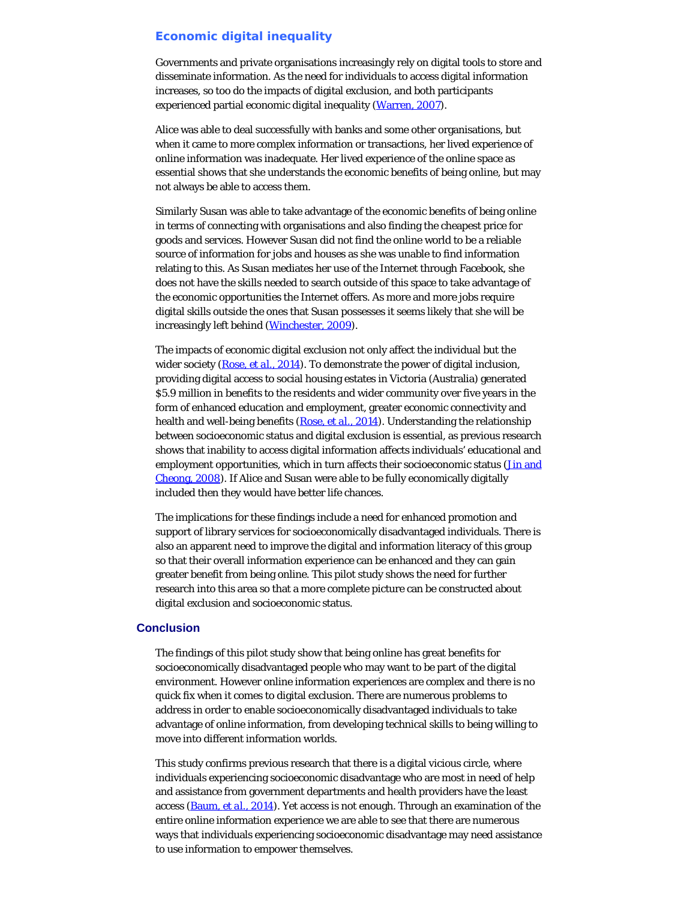# **Economic digital inequality**

Governments and private organisations increasingly rely on digital tools to store and disseminate information. As the need for individuals to access digital information increases, so too do the impacts of digital exclusion, and both participants experienced partial economic digital inequality ([Warren, 2007](#page-13-19)).

Alice was able to deal successfully with banks and some other organisations, but when it came to more complex information or transactions, her lived experience of online information was inadequate. Her lived experience of the online space as essential shows that she understands the economic benefits of being online, but may not always be able to access them.

Similarly Susan was able to take advantage of the economic benefits of being online in terms of connecting with organisations and also finding the cheapest price for goods and services. However Susan did not find the online world to be a reliable source of information for jobs and houses as she was unable to find information relating to this. As Susan mediates her use of the Internet through Facebook, she does not have the skills needed to search outside of this space to take advantage of the economic opportunities the Internet offers. As more and more jobs require digital skills outside the ones that Susan possesses it seems likely that she will be increasingly left behind ([Winchester, 2009\)](#page-13-11).

The impacts of economic digital exclusion not only affect the individual but the wider society [\(Rose,](#page-13-13) *[et al.](#page-13-13)*[, 2014](#page-13-13)). To demonstrate the power of digital inclusion, providing digital access to social housing estates in Victoria (Australia) generated \$5.9 million in benefits to the residents and wider community over five years in the form of enhanced education and employment, greater economic connectivity and health and well-being benefits [\(Rose,](#page-13-13) *[et al.](#page-13-13)*[, 2014](#page-13-13)). Understanding the relationship between socioeconomic status and digital exclusion is essential, as previous research shows that inability to access digital information affects individuals' educational and employment opportunities, which in turn affects their socioeconomic status (*Jin and* [Cheong, 2008](#page-13-0)). If Alice and Susan were able to be fully economically digitally included then they would have better life chances.

The implications for these findings include a need for enhanced promotion and support of library services for socioeconomically disadvantaged individuals. There is also an apparent need to improve the digital and information literacy of this group so that their overall information experience can be enhanced and they can gain greater benefit from being online. This pilot study shows the need for further research into this area so that a more complete picture can be constructed about digital exclusion and socioeconomic status.

# **Conclusion**

The findings of this pilot study show that being online has great benefits for socioeconomically disadvantaged people who may want to be part of the digital environment. However online information experiences are complex and there is no quick fix when it comes to digital exclusion. There are numerous problems to address in order to enable socioeconomically disadvantaged individuals to take advantage of online information, from developing technical skills to being willing to move into different information worlds.

This study confirms previous research that there is a digital vicious circle, where individuals experiencing socioeconomic disadvantage who are most in need of help and assistance from government departments and health providers have the least access [\(Baum,](#page-13-0) *[et al.](#page-13-0)*[, 2014](#page-13-0)). Yet access is not enough. Through an examination of the entire online information experience we are able to see that there are numerous ways that individuals experiencing socioeconomic disadvantage may need assistance to use information to empower themselves.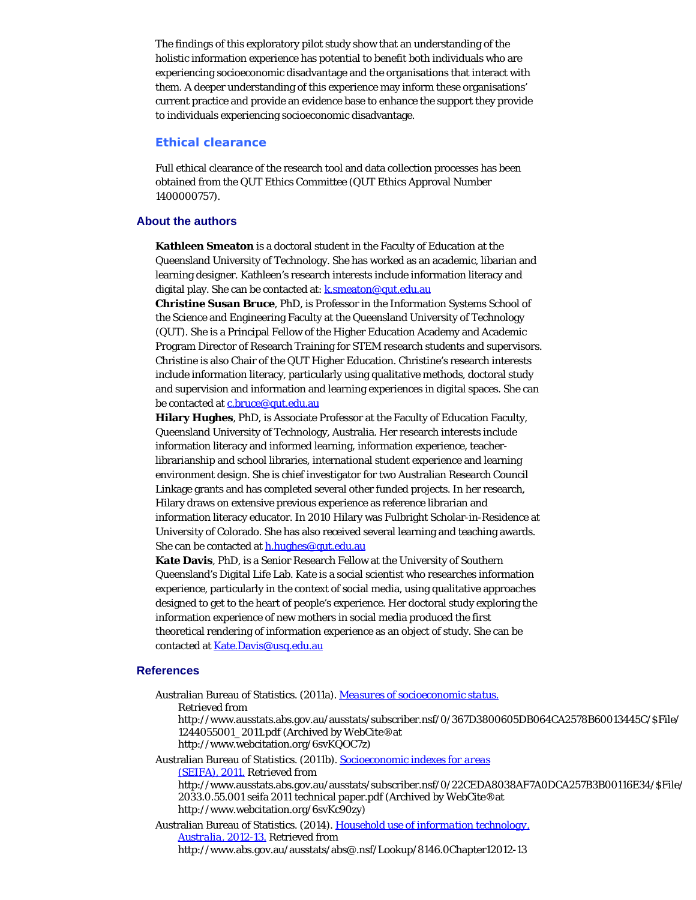The findings of this exploratory pilot study show that an understanding of the holistic information experience has potential to benefit both individuals who are experiencing socioeconomic disadvantage and the organisations that interact with them. A deeper understanding of this experience may inform these organisations' current practice and provide an evidence base to enhance the support they provide to individuals experiencing socioeconomic disadvantage.

# **Ethical clearance**

Full ethical clearance of the research tool and data collection processes has been obtained from the QUT Ethics Committee (QUT Ethics Approval Number 1400000757).

#### <span id="page-11-0"></span>**About the authors**

**Kathleen Smeaton** is a doctoral student in the Faculty of Education at the Queensland University of Technology. She has worked as an academic, libarian and learning designer. Kathleen's research interests include information literacy and digital play. She can be contacted at: **k**.smeaton@qut.edu.au

**Christine Susan Bruce**, PhD, is Professor in the Information Systems School of the Science and Engineering Faculty at the Queensland University of Technology (QUT). She is a Principal Fellow of the Higher Education Academy and Academic Program Director of Research Training for STEM research students and supervisors. Christine is also Chair of the QUT Higher Education. Christine's research interests include information literacy, particularly using qualitative methods, doctoral study and supervision and information and learning experiences in digital spaces. She can be contacted at [c.bruce@qut.edu.au](mailto:c.bruce@qut.edu.au)

**Hilary Hughes**, PhD, is Associate Professor at the Faculty of Education Faculty, Queensland University of Technology, Australia. Her research interests include information literacy and informed learning, information experience, teacherlibrarianship and school libraries, international student experience and learning environment design. She is chief investigator for two Australian Research Council Linkage grants and has completed several other funded projects. In her research, Hilary draws on extensive previous experience as reference librarian and information literacy educator. In 2010 Hilary was Fulbright Scholar-in-Residence at University of Colorado. She has also received several learning and teaching awards. She can be contacted at [h.hughes@qut.edu.au](mailto:h.hughes@qut.edu.au)

**Kate Davis**, PhD, is a Senior Research Fellow at the University of Southern Queensland's Digital Life Lab. Kate is a social scientist who researches information experience, particularly in the context of social media, using qualitative approaches designed to get to the heart of people's experience. Her doctoral study exploring the information experience of new mothers in social media produced the first theoretical rendering of information experience as an object of study. She can be contacted at [Kate.Davis@usq.edu.au](mailto:Kate.Davis@usq.edu.au)

#### **References**

Australian Bureau of Statistics. (2011a). *[Measures of socioeconomic status.](http://www.webcitation.org/6svKQOC7z)* Retrieved from http://www.ausstats.abs.gov.au/ausstats/subscriber.nsf/0/367D3800605DB064CA2578B60013445C/\$File/ 1244055001\_2011.pdf (Archived by WebCite®at http://www.webcitation.org/6svKQOC7z) Australian Bureau of Statistics. (2011b). *[Socioeconomic indexes for areas](http://www.webcitation.org/6svKc90zy) [\(SEIFA\), 2011.](http://www.webcitation.org/6svKc90zy)* Retrieved from http://www.ausstats.abs.gov.au/ausstats/subscriber.nsf/0/22CEDA8038AF7A0DCA257B3B00116E34/\$File/

2033.0.55.001 seifa 2011 technical paper.pdf (Archived by WebCite®at http://www.webcitation.org/6svKc90zy)

Australian Bureau of Statistics. (2014). *[Household use of information technology,](http://www.webcitation.org/6svKLRATX) [Australia, 2012-13.](http://www.webcitation.org/6svKLRATX)* Retrieved from

http://www.abs.gov.au/ausstats/abs@.nsf/Lookup/8146.0Chapter12012-13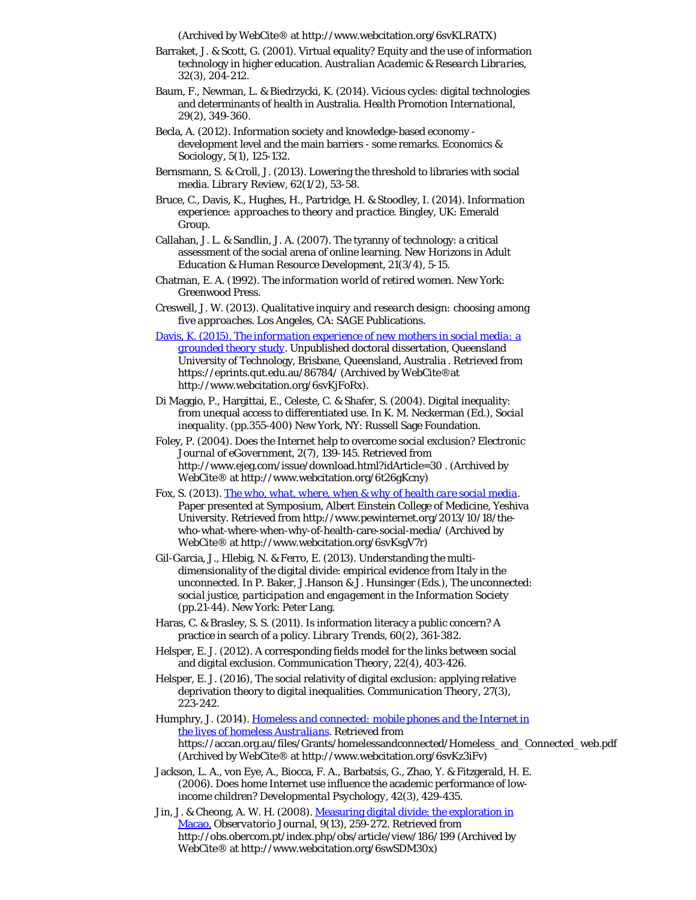(Archived by WebCite® at http://www.webcitation.org/6svKLRATX)

- Barraket, J. & Scott, G. (2001). Virtual equality? Equity and the use of information technology in higher education. *Australian Academic & Research Libraries, 32*(3), 204-212.
- Baum, F., Newman, L. & Biedrzycki, K. (2014). Vicious cycles: digital technologies and determinants of health in Australia. *Health Promotion International, 29*(2), 349-360.
- Becla, A. (2012). Information society and knowledge-based economy development level and the main barriers - some remarks. *Economics & Sociology, 5*(1), 125-132.
- Bernsmann, S. & Croll, J. (2013). Lowering the threshold to libraries with social media. *Library Review, 62*(1/2), 53-58.
- Bruce, C., Davis, K., Hughes, H., Partridge, H. & Stoodley, I. (2014). *Information experience: approaches to theory and practice.* Bingley, UK: Emerald Group.
- Callahan, J. L. & Sandlin, J. A. (2007). The tyranny of technology: a critical assessment of the social arena of online learning. *New Horizons in Adult Education & Human Resource Development, 21*(3/4), 5-15.
- Chatman, E. A. (1992). *The information world of retired women.* New York: Greenwood Press.
- Creswell, J. W. (2013). *Qualitative inquiry and research design: choosing among five approaches*. Los Angeles, CA: SAGE Publications.
- [Davis, K. \(2015\).](http://www.webcitation.org/6svKLRATX) *[The information experience of new mothers in social media: a](https://eprints.qut.edu.au/86784/) [grounded theory study](https://eprints.qut.edu.au/86784/)*. Unpublished doctoral dissertation, Queensland University of Technology, Brisbane, Queensland, Australia . Retrieved from https://eprints.qut.edu.au/86784/ (Archived by WebCite®at http://www.webcitation.org/6svKjFoRx).
- Di Maggio, P., Hargittai, E., Celeste, C. & Shafer, S. (2004). Digital inequality: from unequal access to differentiated use. In K. M. Neckerman (Ed.), *Social inequality*. (pp.355-400) New York, NY: Russell Sage Foundation.
- Foley, P. (2004). Does the Internet help to overcome social exclusion? *Electronic Journal of eGovernment, 2*(7), 139-145. Retrieved from http://www.ejeg.com/issue/download.html?idArticle=30 . (Archived by WebCite® at http://www.webcitation.org/6t26gKcny)
- Fox, S. (2013). *[The who, what, where, when & why of health care social media](http://www.webcitation.org/6svKsgV7r)*. Paper presented at Symposium, Albert Einstein College of Medicine, Yeshiva University. Retrieved from http://www.pewinternet.org/2013/10/18/thewho-what-where-when-why-of-health-care-social-media/ (Archived by WebCite® at http://www.webcitation.org/6svKsgV7r)
- Gil-Garcia, J., Hlebig, N. & Ferro, E. (2013). Understanding the multidimensionality of the digital divide: empirical evidence from Italy in the unconnected. In P. Baker, J.Hanson & J. Hunsinger (Eds.), *The unconnected: social justice, participation and engagement in the Information Society* (pp.21-44). New York: Peter Lang.
- Haras, C. & Brasley, S. S. (2011). Is information literacy a public concern? A practice in search of a policy. *Library Trends, 60*(2), 361-382.
- Helsper, E. J. (2012). A corresponding fields model for the links between social and digital exclusion. *Communication Theory, 22*(4), 403-426.
- Helsper, E. J. (2016), The social relativity of digital exclusion: applying relative deprivation theory to digital inequalities. *Communication Theory, 27*(3), 223-242.
- Humphry, J. (2014). *[Homeless and connected: mobile phones and the Internet in](http://www.webcitation.org/6svKz3iFv) [the lives of homeless Australians](http://www.webcitation.org/6svKz3iFv)*. Retrieved from https://accan.org.au/files/Grants/homelessandconnected/Homeless\_and\_Connected\_web.pdf (Archived by WebCite® at http://www.webcitation.org/6svKz3iFv)
- Jackson, L. A., von Eye, A., Biocca, F. A., Barbatsis, G., Zhao, Y. & Fitzgerald, H. E. (2006). Does home Internet use influence the academic performance of lowincome children? *Developmental Psychology, 42*(3), 429-435.

Jin, J. & Cheong, A. W. H. (2008). [Measuring digital divide: the exploration in](http://www.webcitation.org/6swSDM30x) [Macao.](http://www.webcitation.org/6swSDM30x) *Observatorio Journal, 9*(13), 259-272. Retrieved from http://obs.obercom.pt/index.php/obs/article/view/186/199 (Archived by WebCite® at http://www.webcitation.org/6swSDM30x)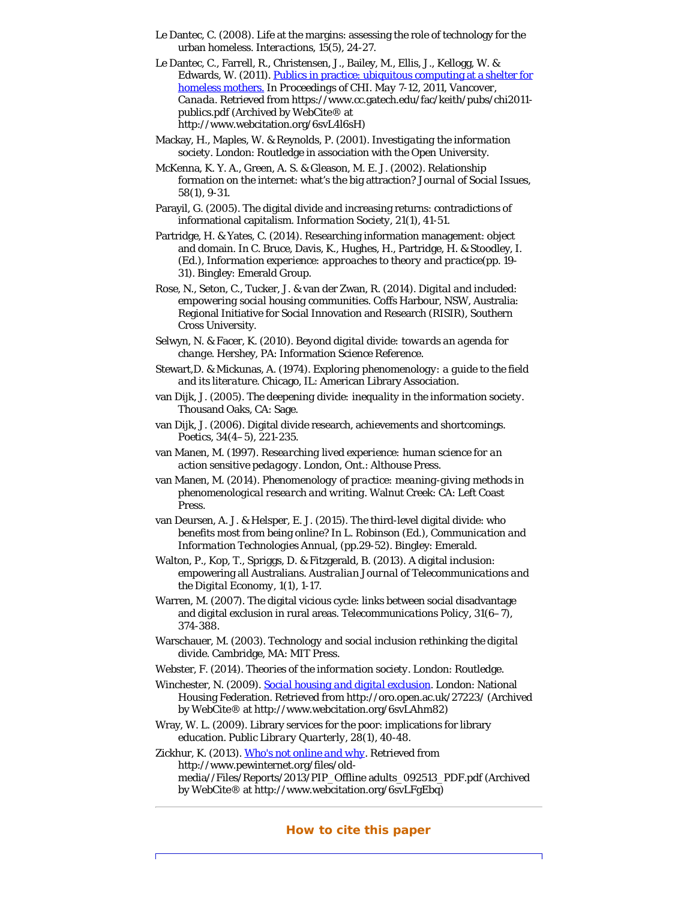- <span id="page-13-6"></span><span id="page-13-0"></span>Le Dantec, C. (2008). Life at the margins: assessing the role of technology for the urban homeless. *Interactions, 15*(5), 24-27.
- <span id="page-13-12"></span>Le Dantec, C., Farrell, R., Christensen, J., Bailey, M., Ellis, J., Kellogg, W. & Edwards, W. (2011). [Publics in practice: ubiquitous computing at a shelter for](http://www.webcitation.org/6svL4l6sH) [homeless mothers.](http://www.webcitation.org/6svL4l6sH) In *Proceedings of CHI. May 7-12, 2011, Vancover, Canada*. Retrieved from https://www.cc.gatech.edu/fac/keith/pubs/chi2011 publics.pdf (Archived by WebCite® at http://www.webcitation.org/6svL4l6sH)
- <span id="page-13-1"></span>Mackay, H., Maples, W. & Reynolds, P. (2001). *Investigating the information society*. London: Routledge in association with the Open University.
- <span id="page-13-10"></span>McKenna, K. Y. A., Green, A. S. & Gleason, M. E. J. (2002). Relationship formation on the internet: what's the big attraction? *Journal of Social Issues, 58*(1), 9-31.
- Parayil, G. (2005). The digital divide and increasing returns: contradictions of informational capitalism. *Information Society, 21*(1), 41-51.
- Partridge, H. & Yates, C. (2014). Researching information management: object and domain. In C. Bruce, Davis, K., Hughes, H., Partridge, H. & Stoodley, I. (Ed.), *Information experience: approaches to theory and practice*(pp. 19- 31). Bingley: Emerald Group.
- <span id="page-13-13"></span>Rose, N., Seton, C., Tucker, J. & van der Zwan, R. (2014). *Digital and included: empowering social housing communities*. Coffs Harbour, NSW, Australia: Regional Initiative for Social Innovation and Research (RISIR), Southern Cross University.
- <span id="page-13-9"></span>Selwyn, N. & Facer, K. (2010). *Beyond digital divide: towards an agenda for change*. Hershey, PA: Information Science Reference.
- <span id="page-13-16"></span>Stewart,D. & Mickunas, A. (1974). *Exploring phenomenology: a guide to the field and its literature*. Chicago, IL: American Library Association.
- <span id="page-13-7"></span>van Dijk, J. (2005). *The deepening divide: inequality in the information society*. Thousand Oaks, CA: Sage.
- <span id="page-13-8"></span>van Dijk, J. (2006). Digital divide research, achievements and shortcomings. *Poetics, 34*(4–5), 221-235.
- <span id="page-13-15"></span>van Manen, M. (1997). *Researching lived experience: human science for an action sensitive pedagogy*. London, Ont.: Althouse Press.
- <span id="page-13-17"></span>van Manen, M. (2014). *Phenomenology of practice: meaning-giving methods in phenomenological research and writing*. Walnut Creek: CA: Left Coast Press.
- <span id="page-13-14"></span>van Deursen, A. J. & Helsper, E. J. (2015). The third-level digital divide: who benefits most from being online? In L. Robinson (Ed.), *Communication and Information Technologies Annual*, (pp.29-52). Bingley: Emerald.
- <span id="page-13-4"></span>Walton, P., Kop, T., Spriggs, D. & Fitzgerald, B. (2013). A digital inclusion: empowering all Australians. *Australian Journal of Telecommunications and the Digital Economy, 1*(1), 1-17.
- <span id="page-13-19"></span>Warren, M. (2007). The digital vicious cycle: links between social disadvantage and digital exclusion in rural areas. *Telecommunications Policy, 31*(6–7), 374-388.
- <span id="page-13-5"></span>Warschauer, M. (2003). *Technology and social inclusion rethinking the digital divide*. Cambridge, MA: MIT Press.
- Webster, F. (2014). *Theories of the information society*. London: Routledge.
- <span id="page-13-11"></span><span id="page-13-2"></span>Winchester, N. (2009). *[Social housing and digital exclusion](http://www.webcitation.org/6svLAhm82)*. London: National Housing Federation. Retrieved from http://oro.open.ac.uk/27223/ (Archived by WebCite® at http://www.webcitation.org/6svLAhm82)
- <span id="page-13-18"></span>Wray, W. L. (2009). Library services for the poor: implications for library education. *Public Library Quarterly, 28*(1), 40-48.

<span id="page-13-3"></span>Zickhur, K. (2013). *[Who's not online and why](http://www.webcitation.org/6svLFgEbq)*. Retrieved from http://www.pewinternet.org/files/oldmedia//Files/Reports/2013/PIP\_Offline adults\_092513\_PDF.pdf (Archived by WebCite® at http://www.webcitation.org/6svLFgEbq)

### **How to cite this paper**